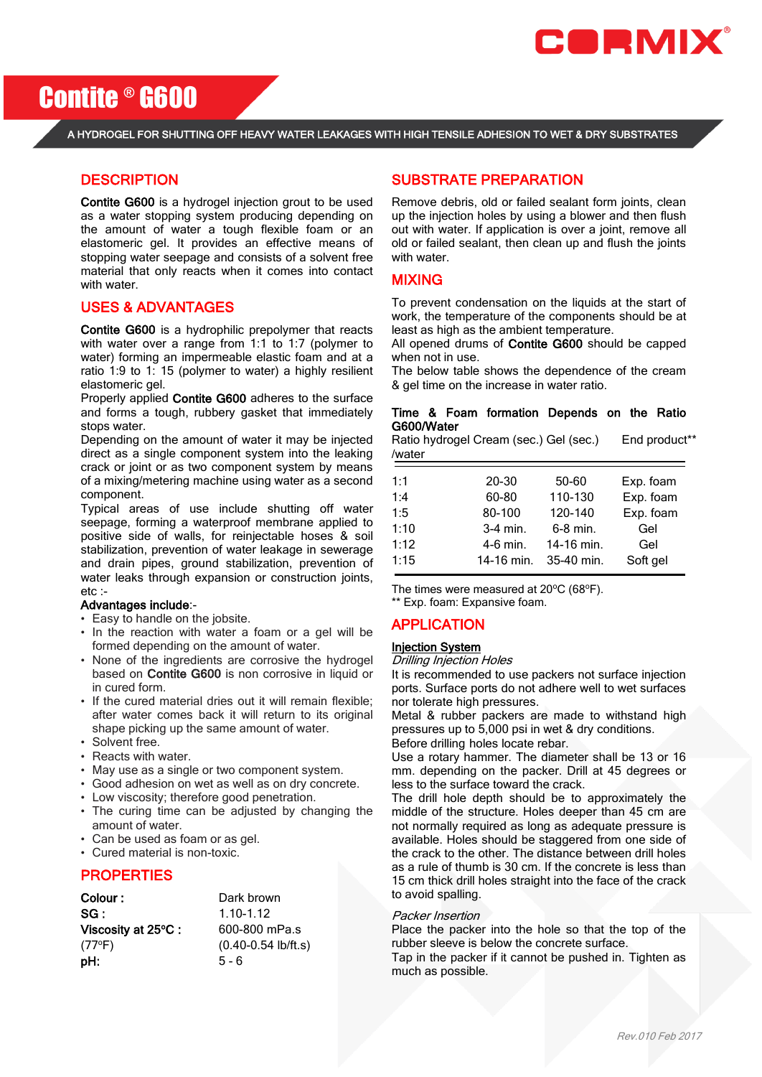

Contite ® G600

#### A HYDROGEL FOR SHUTTING OFF HEAVY WATER LEAKAGES WITH HIGH TENSILE ADHESION TO WET & DRY SUBSTRATES

## **DESCRIPTION**

Contite G600 is a hydrogel injection grout to be used as a water stopping system producing depending on the amount of water a tough flexible foam or an elastomeric gel. It provides an effective means of stopping water seepage and consists of a solvent free material that only reacts when it comes into contact with water.

## USES & ADVANTAGES

Contite G600 is a hydrophilic prepolymer that reacts with water over a range from 1:1 to 1:7 (polymer to water) forming an impermeable elastic foam and at a ratio 1:9 to 1: 15 (polymer to water) a highly resilient elastomeric gel.

Properly applied Contite G600 adheres to the surface and forms a tough, rubbery gasket that immediately stops water.

Depending on the amount of water it may be injected direct as a single component system into the leaking crack or joint or as two component system by means of a mixing/metering machine using water as a second component.

Typical areas of use include shutting off water seepage, forming a waterproof membrane applied to positive side of walls, for reinjectable hoses & soil stabilization, prevention of water leakage in sewerage and drain pipes, ground stabilization, prevention of water leaks through expansion or construction joints, etc :-

#### Advantages include:-

- Easy to handle on the jobsite.
- In the reaction with water a foam or a gel will be formed depending on the amount of water.
- None of the ingredients are corrosive the hydrogel based on Contite G600 is non corrosive in liquid or in cured form.
- If the cured material dries out it will remain flexible; after water comes back it will return to its original shape picking up the same amount of water.
- Solvent free.
- Reacts with water.
- May use as a single or two component system.
- Good adhesion on wet as well as on dry concrete.
- Low viscosity; therefore good penetration.
- The curing time can be adjusted by changing the amount of water.
- Can be used as foam or as gel.
- Cured material is non-toxic.

## **PROPERTIES**

| Colour :           | Dark brown                     |  |
|--------------------|--------------------------------|--|
| SG:                | $1.10 - 1.12$<br>600-800 mPa.s |  |
| Viscosity at 25°C: |                                |  |
| $(77^{\circ}F)$    | $(0.40 - 0.54$ lb/ft.s)        |  |
| pH:                | $5 - 6$                        |  |

## SUBSTRATE PREPARATION

Remove debris, old or failed sealant form joints, clean up the injection holes by using a blower and then flush out with water. If application is over a joint, remove all old or failed sealant, then clean up and flush the joints with water.

## MIXING

To prevent condensation on the liquids at the start of work, the temperature of the components should be at least as high as the ambient temperature.

All opened drums of Contite G600 should be capped when not in use.

The below table shows the dependence of the cream & gel time on the increase in water ratio.

#### Time & Foam formation Depends on the Ratio G600/Water

Ratio hydrogel Cream (sec.) Gel (sec.) End product\*\* /water

| 1:1  | 20-30      | 50-60      | Exp. foam |
|------|------------|------------|-----------|
| 1:4  | 60-80      | 110-130    | Exp. foam |
| 1:5  | 80-100     | 120-140    | Exp. foam |
| 1:10 | $3-4$ min. | 6-8 min.   | Gel       |
| 1:12 | 4-6 min.   | 14-16 min. | Gel       |
| 1:15 | 14-16 min. | 35-40 min. | Soft gel  |
|      |            |            |           |

The times were measured at  $20^{\circ}$ C (68 $^{\circ}$ F). \*\* Exp. foam: Expansive foam.

# APPLICATION

# Injection System

## Drilling Injection Holes

It is recommended to use packers not surface injection ports. Surface ports do not adhere well to wet surfaces nor tolerate high pressures.

Metal & rubber packers are made to withstand high pressures up to 5,000 psi in wet & dry conditions. Before drilling holes locate rebar.

Use a rotary hammer. The diameter shall be 13 or 16 mm. depending on the packer. Drill at 45 degrees or less to the surface toward the crack.

The drill hole depth should be to approximately the middle of the structure. Holes deeper than 45 cm are not normally required as long as adequate pressure is available. Holes should be staggered from one side of the crack to the other. The distance between drill holes as a rule of thumb is 30 cm. If the concrete is less than 15 cm thick drill holes straight into the face of the crack to avoid spalling.

#### Packer Insertion

Place the packer into the hole so that the top of the rubber sleeve is below the concrete surface.

Tap in the packer if it cannot be pushed in. Tighten as much as possible.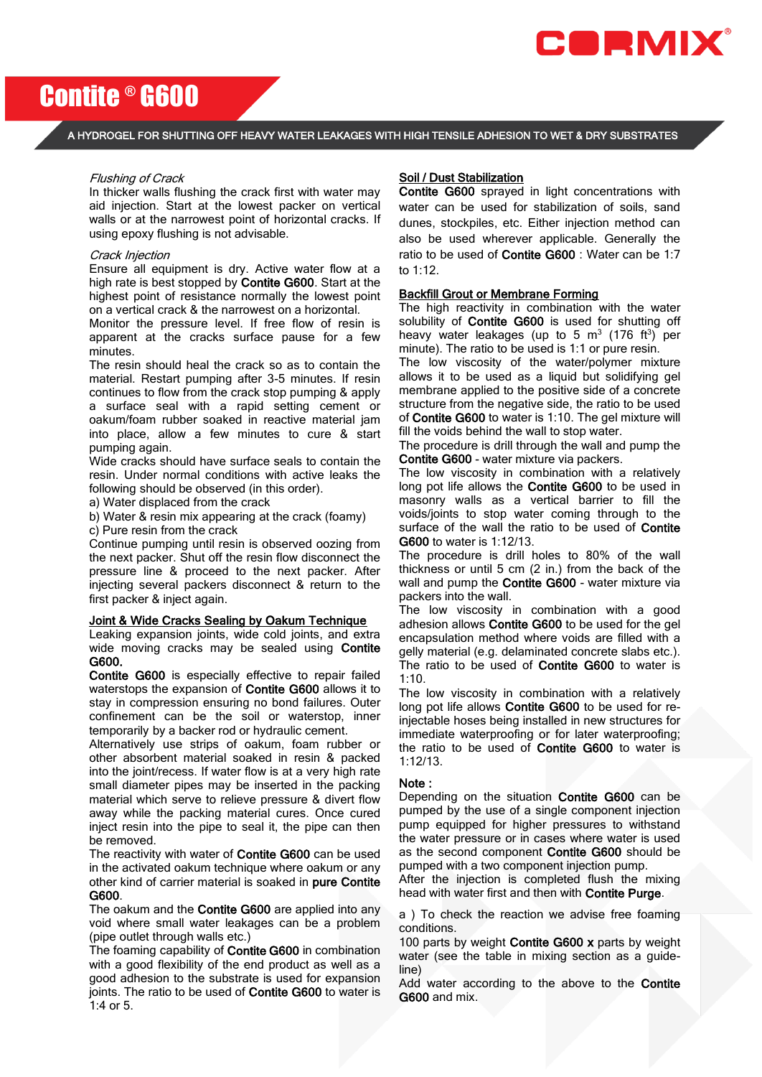

# Contite ® G600

A HYDROGEL FOR SHUTTING OFF HEAVY WATER LEAKAGES WITH HIGH TENSILE ADHESION TO WET & DRY SUBSTRATES

#### Flushing of Crack

In thicker walls flushing the crack first with water may aid injection. Start at the lowest packer on vertical walls or at the narrowest point of horizontal cracks. If using epoxy flushing is not advisable.

#### Crack Injection

Ensure all equipment is dry. Active water flow at a high rate is best stopped by Contite G600. Start at the highest point of resistance normally the lowest point on a vertical crack & the narrowest on a horizontal.

Monitor the pressure level. If free flow of resin is apparent at the cracks surface pause for a few minutes.

The resin should heal the crack so as to contain the material. Restart pumping after 3-5 minutes. If resin continues to flow from the crack stop pumping & apply a surface seal with a rapid setting cement or oakum/foam rubber soaked in reactive material jam into place, allow a few minutes to cure & start pumping again.

Wide cracks should have surface seals to contain the resin. Under normal conditions with active leaks the following should be observed (in this order).

a) Water displaced from the crack

b) Water & resin mix appearing at the crack (foamy)

c) Pure resin from the crack

Continue pumping until resin is observed oozing from the next packer. Shut off the resin flow disconnect the pressure line & proceed to the next packer. After injecting several packers disconnect & return to the first packer & inject again.

#### Joint & Wide Cracks Sealing by Oakum Technique

Leaking expansion joints, wide cold joints, and extra wide moving cracks may be sealed using Contite G600.

Contite G600 is especially effective to repair failed waterstops the expansion of Contite G600 allows it to stay in compression ensuring no bond failures. Outer confinement can be the soil or waterstop, inner temporarily by a backer rod or hydraulic cement.

Alternatively use strips of oakum, foam rubber or other absorbent material soaked in resin & packed into the joint/recess. If water flow is at a very high rate small diameter pipes may be inserted in the packing material which serve to relieve pressure & divert flow away while the packing material cures. Once cured inject resin into the pipe to seal it, the pipe can then be removed.

The reactivity with water of Contite G600 can be used in the activated oakum technique where oakum or any other kind of carrier material is soaked in pure Contite G600.

The oakum and the Contite G600 are applied into any void where small water leakages can be a problem (pipe outlet through walls etc.)

The foaming capability of Contite G600 in combination with a good flexibility of the end product as well as a good adhesion to the substrate is used for expansion joints. The ratio to be used of Contite G600 to water is 1:4 or 5.

#### Soil / Dust Stabilization

Contite G600 sprayed in light concentrations with water can be used for stabilization of soils, sand dunes, stockpiles, etc. Either injection method can also be used wherever applicable. Generally the ratio to be used of Contite G600 : Water can be 1:7 to 1:12.

#### Backfill Grout or Membrane Forming

The high reactivity in combination with the water solubility of Contite G600 is used for shutting off heavy water leakages (up to 5  $m<sup>3</sup>$  (176 ft<sup>3</sup>) per minute). The ratio to be used is 1:1 or pure resin.

The low viscosity of the water/polymer mixture allows it to be used as a liquid but solidifying gel membrane applied to the positive side of a concrete structure from the negative side, the ratio to be used of Contite G600 to water is 1:10. The gel mixture will fill the voids behind the wall to stop water.

The procedure is drill through the wall and pump the Contite G600 - water mixture via packers.

The low viscosity in combination with a relatively long pot life allows the Contite G600 to be used in masonry walls as a vertical barrier to fill the voids/joints to stop water coming through to the surface of the wall the ratio to be used of Contite G600 to water is 1:12/13.

The procedure is drill holes to 80% of the wall thickness or until 5 cm (2 in.) from the back of the wall and pump the Contite G600 - water mixture via packers into the wall.

The low viscosity in combination with a good adhesion allows Contite G600 to be used for the gel encapsulation method where voids are filled with a gelly material (e.g. delaminated concrete slabs etc.). The ratio to be used of Contite G600 to water is 1:10.

The low viscosity in combination with a relatively long pot life allows Contite G600 to be used for reinjectable hoses being installed in new structures for immediate waterproofing or for later waterproofing; the ratio to be used of Contite G600 to water is 1:12/13.

#### Note :

Depending on the situation Contite G600 can be pumped by the use of a single component injection pump equipped for higher pressures to withstand the water pressure or in cases where water is used as the second component Contite G600 should be pumped with a two component injection pump.

After the injection is completed flush the mixing head with water first and then with Contite Purge.

a ) To check the reaction we advise free foaming conditions.

100 parts by weight Contite G600 x parts by weight water (see the table in mixing section as a guideline)

Add water according to the above to the Contite G600 and mix.